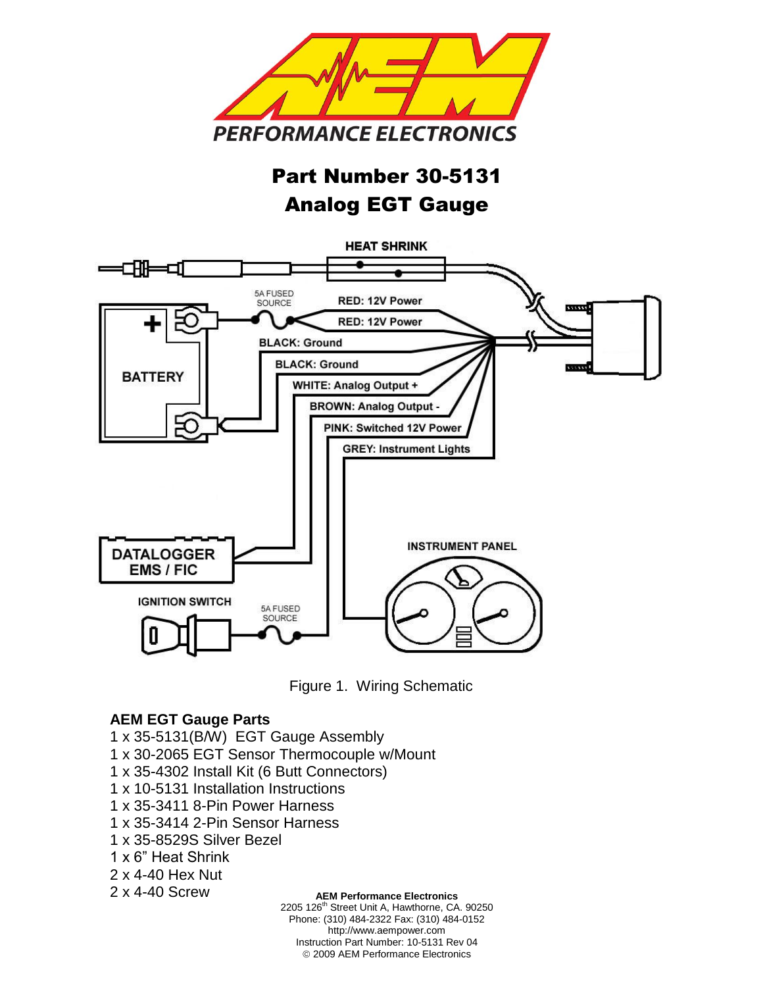

# Part Number 30-5131 Analog EGT Gauge





#### **AEM EGT Gauge Parts**

- 1 x 35-5131(B/W) EGT Gauge Assembly
- 1 x 30-2065 EGT Sensor Thermocouple w/Mount
- 1 x 35-4302 Install Kit (6 Butt Connectors)
- 1 x 10-5131 Installation Instructions
- 1 x 35-3411 8-Pin Power Harness
- 1 x 35-3414 2-Pin Sensor Harness
- 1 x 35-8529S Silver Bezel
- 1 x 6" Heat Shrink
- 2 x 4-40 Hex Nut

# 2 x 4-40 Screw

#### **AEM Performance Electronics**

2205 126<sup>th</sup> Street Unit A, Hawthorne, CA. 90250 Phone: (310) 484-2322 Fax: (310) 484-0152 http://www.aempower.com Instruction Part Number: 10-5131 Rev 04 2009 AEM Performance Electronics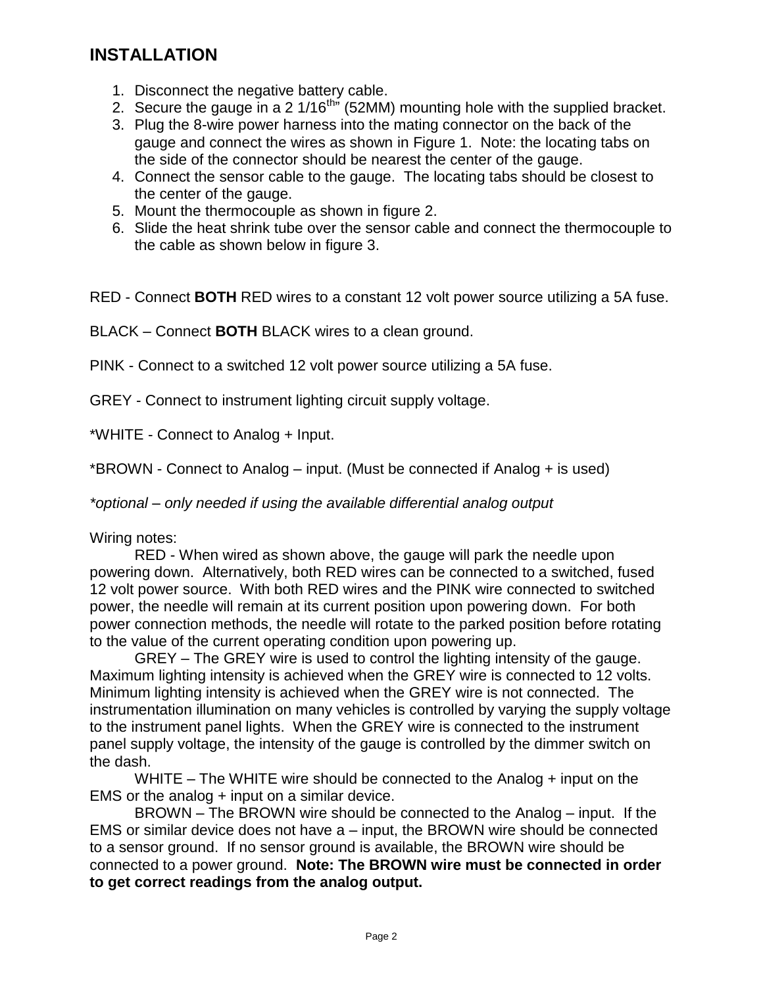# **INSTALLATION**

- 1. Disconnect the negative battery cable.
- 2. Secure the gauge in a 2  $1/16^{th}$  (52MM) mounting hole with the supplied bracket.
- 3. Plug the 8-wire power harness into the mating connector on the back of the gauge and connect the wires as shown in Figure 1. Note: the locating tabs on the side of the connector should be nearest the center of the gauge.
- 4. Connect the sensor cable to the gauge. The locating tabs should be closest to the center of the gauge.
- 5. Mount the thermocouple as shown in figure 2.
- 6. Slide the heat shrink tube over the sensor cable and connect the thermocouple to the cable as shown below in figure 3.

RED - Connect **BOTH** RED wires to a constant 12 volt power source utilizing a 5A fuse.

BLACK – Connect **BOTH** BLACK wires to a clean ground.

PINK - Connect to a switched 12 volt power source utilizing a 5A fuse.

GREY - Connect to instrument lighting circuit supply voltage.

\*WHITE - Connect to Analog + Input.

\*BROWN - Connect to Analog – input. (Must be connected if Analog + is used)

*\*optional – only needed if using the available differential analog output*

Wiring notes:

RED - When wired as shown above, the gauge will park the needle upon powering down. Alternatively, both RED wires can be connected to a switched, fused 12 volt power source. With both RED wires and the PINK wire connected to switched power, the needle will remain at its current position upon powering down. For both power connection methods, the needle will rotate to the parked position before rotating to the value of the current operating condition upon powering up.

GREY – The GREY wire is used to control the lighting intensity of the gauge. Maximum lighting intensity is achieved when the GREY wire is connected to 12 volts. Minimum lighting intensity is achieved when the GREY wire is not connected. The instrumentation illumination on many vehicles is controlled by varying the supply voltage to the instrument panel lights. When the GREY wire is connected to the instrument panel supply voltage, the intensity of the gauge is controlled by the dimmer switch on the dash.

WHITE  $-$  The WHITE wire should be connected to the Analog  $+$  input on the EMS or the analog + input on a similar device.

BROWN – The BROWN wire should be connected to the Analog – input. If the EMS or similar device does not have a – input, the BROWN wire should be connected to a sensor ground. If no sensor ground is available, the BROWN wire should be connected to a power ground. **Note: The BROWN wire must be connected in order to get correct readings from the analog output.**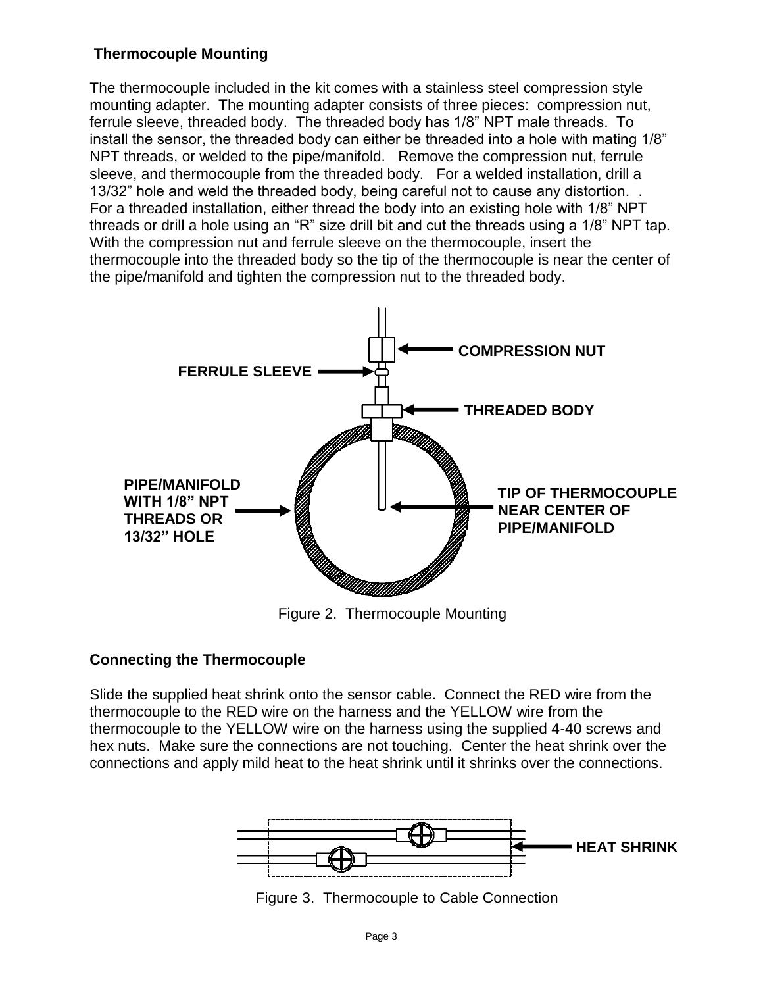# **Thermocouple Mounting**

The thermocouple included in the kit comes with a stainless steel compression style mounting adapter. The mounting adapter consists of three pieces: compression nut, ferrule sleeve, threaded body. The threaded body has 1/8" NPT male threads. To install the sensor, the threaded body can either be threaded into a hole with mating 1/8" NPT threads, or welded to the pipe/manifold. Remove the compression nut, ferrule sleeve, and thermocouple from the threaded body. For a welded installation, drill a 13/32" hole and weld the threaded body, being careful not to cause any distortion. . For a threaded installation, either thread the body into an existing hole with 1/8" NPT threads or drill a hole using an "R" size drill bit and cut the threads using a 1/8" NPT tap. With the compression nut and ferrule sleeve on the thermocouple, insert the thermocouple into the threaded body so the tip of the thermocouple is near the center of the pipe/manifold and tighten the compression nut to the threaded body.



Figure 2. Thermocouple Mounting

# **Connecting the Thermocouple**

Slide the supplied heat shrink onto the sensor cable. Connect the RED wire from the thermocouple to the RED wire on the harness and the YELLOW wire from the thermocouple to the YELLOW wire on the harness using the supplied 4-40 screws and hex nuts. Make sure the connections are not touching. Center the heat shrink over the connections and apply mild heat to the heat shrink until it shrinks over the connections.



Figure 3. Thermocouple to Cable Connection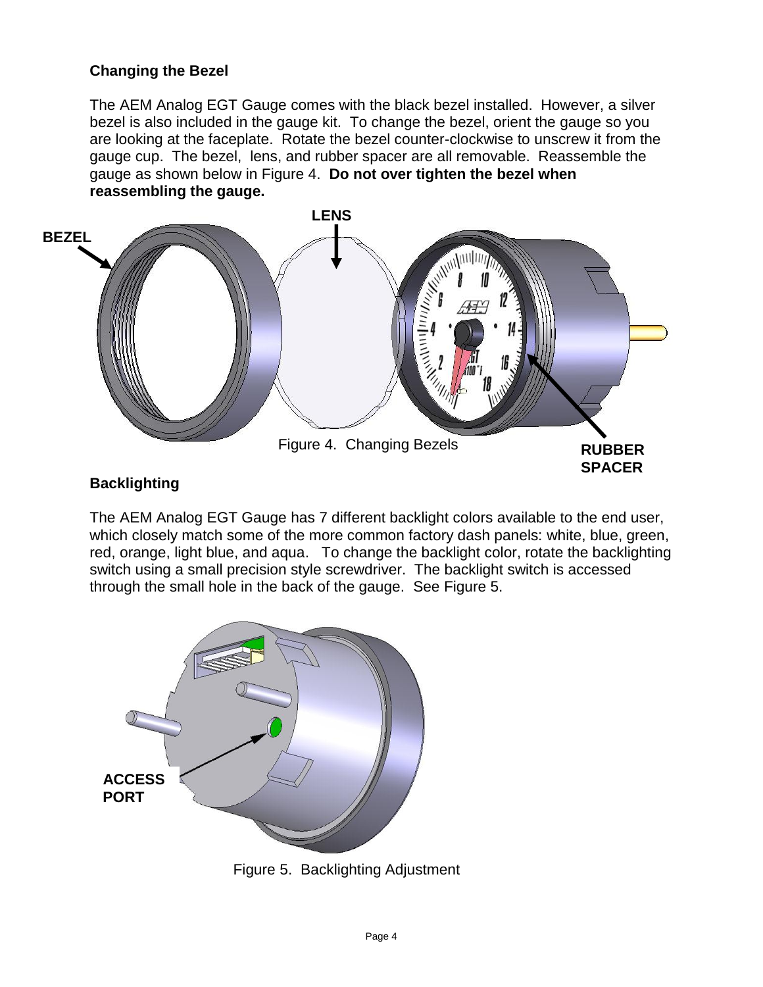## **Changing the Bezel**

The AEM Analog EGT Gauge comes with the black bezel installed. However, a silver bezel is also included in the gauge kit. To change the bezel, orient the gauge so you are looking at the faceplate. Rotate the bezel counter-clockwise to unscrew it from the gauge cup. The bezel, lens, and rubber spacer are all removable. Reassemble the gauge as shown below in Figure 4. **Do not over tighten the bezel when reassembling the gauge.**



# **Backlighting**

The AEM Analog EGT Gauge has 7 different backlight colors available to the end user, which closely match some of the more common factory dash panels: white, blue, green, red, orange, light blue, and aqua. To change the backlight color, rotate the backlighting switch using a small precision style screwdriver. The backlight switch is accessed through the small hole in the back of the gauge. See Figure 5.



Figure 5. Backlighting Adjustment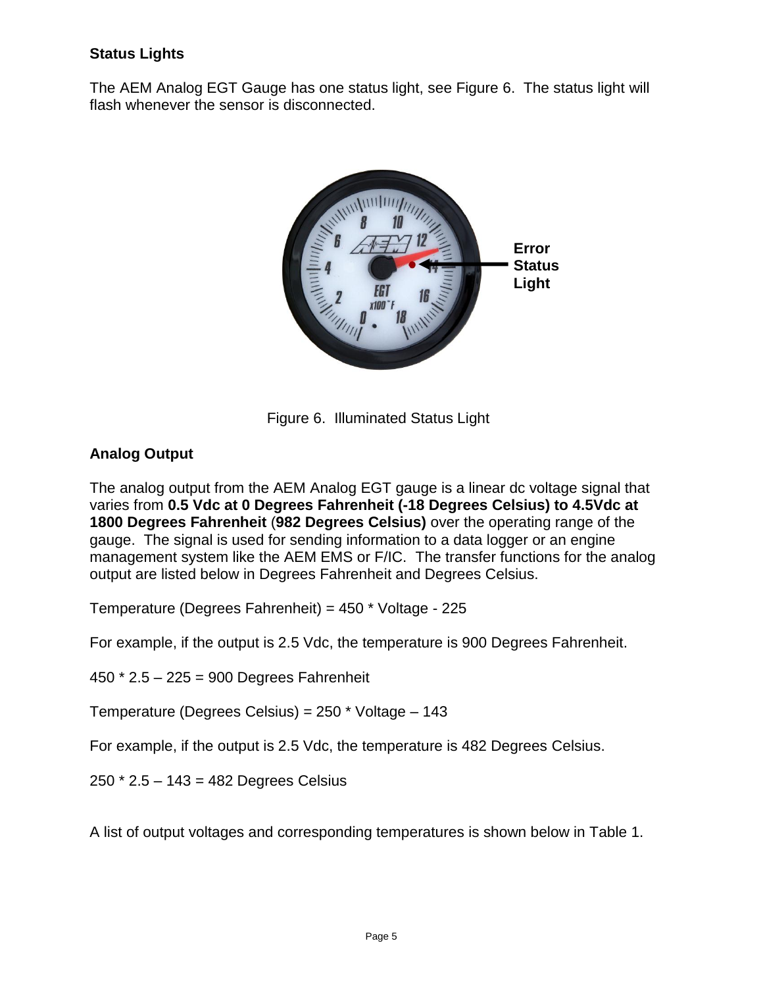# **Status Lights**

The AEM Analog EGT Gauge has one status light, see Figure 6. The status light will flash whenever the sensor is disconnected.



Figure 6. Illuminated Status Light

# **Analog Output**

The analog output from the AEM Analog EGT gauge is a linear dc voltage signal that varies from **0.5 Vdc at 0 Degrees Fahrenheit (-18 Degrees Celsius) to 4.5Vdc at 1800 Degrees Fahrenheit** (**982 Degrees Celsius)** over the operating range of the gauge. The signal is used for sending information to a data logger or an engine management system like the AEM EMS or F/IC. The transfer functions for the analog output are listed below in Degrees Fahrenheit and Degrees Celsius.

Temperature (Degrees Fahrenheit) = 450 \* Voltage - 225

For example, if the output is 2.5 Vdc, the temperature is 900 Degrees Fahrenheit.

450 \* 2.5 – 225 = 900 Degrees Fahrenheit

Temperature (Degrees Celsius) = 250 \* Voltage – 143

For example, if the output is 2.5 Vdc, the temperature is 482 Degrees Celsius.

250 \* 2.5 – 143 = 482 Degrees Celsius

A list of output voltages and corresponding temperatures is shown below in Table 1.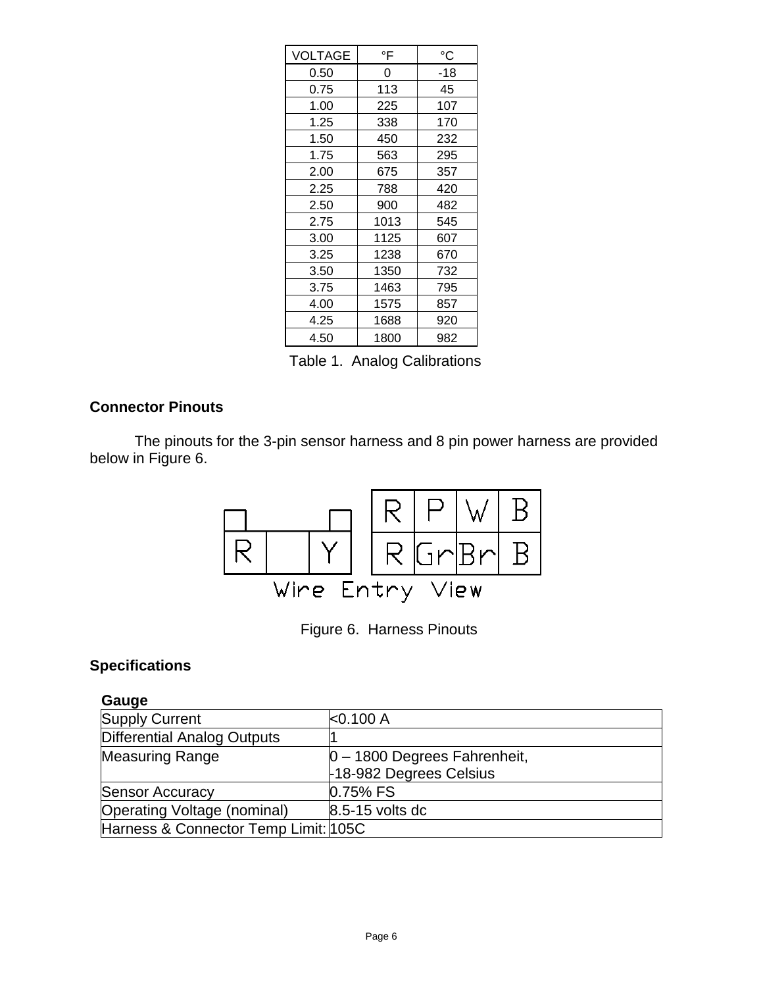| <b>VOLTAGE</b> | °F   | °C  |
|----------------|------|-----|
| 0.50           | 0    | -18 |
| 0.75           | 113  | 45  |
| 1.00           | 225  | 107 |
| 1.25           | 338  | 170 |
| 1.50           | 450  | 232 |
| 1.75           | 563  | 295 |
| 2.00           | 675  | 357 |
| 2.25           | 788  | 420 |
| 2.50           | 900  | 482 |
| 2.75           | 1013 | 545 |
| 3.00           | 1125 | 607 |
| 3.25           | 1238 | 670 |
| 3.50           | 1350 | 732 |
| 3.75           | 1463 | 795 |
| 4.00           | 1575 | 857 |
| 4.25           | 1688 | 920 |
| 4.50           | 1800 | 982 |

Table 1. Analog Calibrations

# **Connector Pinouts**

The pinouts for the 3-pin sensor harness and 8 pin power harness are provided below in Figure 6.



Figure 6. Harness Pinouts

#### **Specifications**

# **Gauge**

| <b>Supply Current</b>                | $ <$ 0.100 A                    |
|--------------------------------------|---------------------------------|
| Differential Analog Outputs          |                                 |
| <b>Measuring Range</b>               | $ 0 - 1800$ Degrees Fahrenheit, |
|                                      | -18-982 Degrees Celsius         |
| <b>Sensor Accuracy</b>               | 0.75% FS                        |
| Operating Voltage (nominal)          | 8.5-15 volts dc                 |
| Harness & Connector Temp Limit: 105C |                                 |